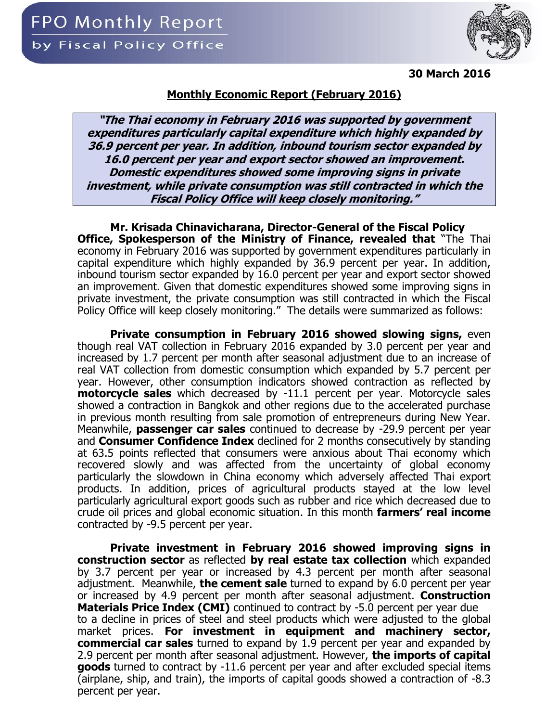

**30 March 2016**

## **Monthly Economic Report (February 2016)**

**"The Thai economy in February 2016 was supported by government expenditures particularly capital expenditure which highly expanded by 36.9 percent per year. In addition, inbound tourism sector expanded by 16.0 percent per year and export sector showed an improvement. Domestic expenditures showed some improving signs in private investment, while private consumption was still contracted in which the Fiscal Policy Office will keep closely monitoring."**

**Mr. Krisada Chinavicharana, Director-General of the Fiscal Policy Office, Spokesperson of the Ministry of Finance, revealed that** "The Thai economy in February 2016 was supported by government expenditures particularly in capital expenditure which highly expanded by 36.9 percent per year. In addition, inbound tourism sector expanded by 16.0 percent per year and export sector showed an improvement. Given that domestic expenditures showed some improving signs in private investment, the private consumption was still contracted in which the Fiscal Policy Office will keep closely monitoring." The details were summarized as follows:

**Private consumption in February 2016 showed slowing signs,** even though real VAT collection in February 2016 expanded by 3.0 percent per year and increased by 1.7 percent per month after seasonal adjustment due to an increase of real VAT collection from domestic consumption which expanded by 5.7 percent per year. However, other consumption indicators showed contraction as reflected by **motorcycle sales** which decreased by -11.1 percent per year. Motorcycle sales showed a contraction in Bangkok and other regions due to the accelerated purchase in previous month resulting from sale promotion of entrepreneurs during New Year. Meanwhile, **passenger car sales** continued to decrease by -29.9 percent per year and **Consumer Confidence Index** declined for 2 months consecutively by standing at 63.5 points reflected that consumers were anxious about Thai economy which recovered slowly and was affected from the uncertainty of global economy particularly the slowdown in China economy which adversely affected Thai export products. In addition, prices of agricultural products stayed at the low level particularly agricultural export goods such as rubber and rice which decreased due to crude oil prices and global economic situation. In this month **farmers' real income** contracted by -9.5 percent per year.

**Private investment in February 2016 showed improving signs in construction sector** as reflected **by real estate tax collection** which expanded by 3.7 percent per year or increased by 4.3 percent per month after seasonal adjustment. Meanwhile, **the cement sale** turned to expand by 6.0 percent per year or increased by 4.9 percent per month after seasonal adjustment. **Construction Materials Price Index (CMI)** continued to contract by -5.0 percent per year due to a decline in prices of steel and steel products which were adjusted to the global market prices. **For investment in equipment and machinery sector, commercial car sales** turned to expand by 1.9 percent per year and expanded by 2.9 percent per month after seasonal adjustment. However, **the imports of capital goods** turned to contract by -11.6 percent per year and after excluded special items (airplane, ship, and train), the imports of capital goods showed a contraction of -8.3 percent per year.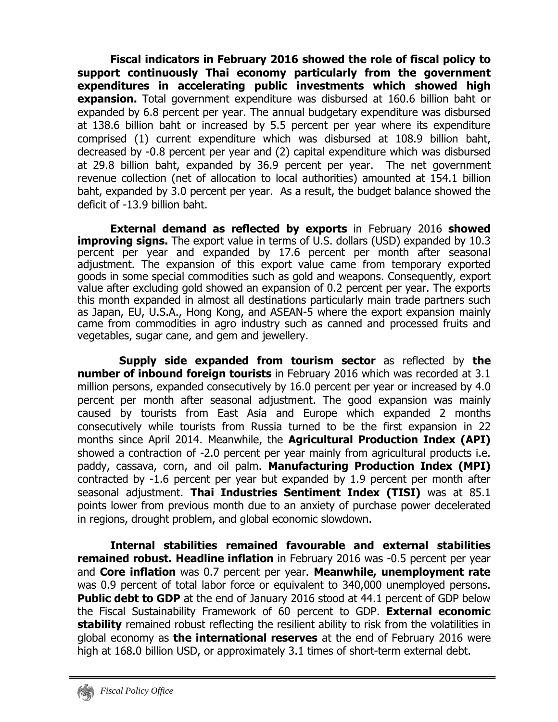**Fiscal indicators in February 2016 showed the role of fiscal policy to support continuously Thai economy particularly from the government expenditures in accelerating public investments which showed high expansion.** Total government expenditure was disbursed at 160.6 billion baht or expanded by 6.8 percent per year. The annual budgetary expenditure was disbursed at 138.6 billion baht or increased by 5.5 percent per year where its expenditure comprised (1) current expenditure which was disbursed at 108.9 billion baht, decreased by -0.8 percent per year and (2) capital expenditure which was disbursed at 29.8 billion baht, expanded by 36.9 percent per year. The net government revenue collection (net of allocation to local authorities) amounted at 154.1 billion baht, expanded by 3.0 percent per year. As a result, the budget balance showed the deficit of -13.9 billion baht.

**External demand as reflected by exports** in February 2016 **showed improving signs.** The export value in terms of U.S. dollars (USD) expanded by 10.3 percent per year and expanded by 17.6 percent per month after seasonal adjustment. The expansion of this export value came from temporary exported goods in some special commodities such as gold and weapons. Consequently, export value after excluding gold showed an expansion of 0.2 percent per year. The exports this month expanded in almost all destinations particularly main trade partners such as Japan, EU, U.S.A., Hong Kong, and ASEAN-5 where the export expansion mainly came from commodities in agro industry such as canned and processed fruits and vegetables, sugar cane, and gem and jewellery.

**Supply side expanded from tourism sector** as reflected by **the number of inbound foreign tourists** in February 2016 which was recorded at 3.1 million persons, expanded consecutively by 16.0 percent per year or increased by 4.0 percent per month after seasonal adjustment. The good expansion was mainly caused by tourists from East Asia and Europe which expanded 2 months consecutively while tourists from Russia turned to be the first expansion in 22 months since April 2014. Meanwhile, the **Agricultural Production Index (API)** showed a contraction of -2.0 percent per year mainly from agricultural products i.e. paddy, cassava, corn, and oil palm. **Manufacturing Production Index (MPI)**  contracted by -1.6 percent per year but expanded by 1.9 percent per month after seasonal adjustment. **Thai Industries Sentiment Index (TISI)** was at 85.1 points lower from previous month due to an anxiety of purchase power decelerated in regions, drought problem, and global economic slowdown.

**Internal stabilities remained favourable and external stabilities remained robust. Headline inflation** in February 2016 was -0.5 percent per year and **Core inflation** was 0.7 percent per year. **Meanwhile, unemployment rate** was 0.9 percent of total labor force or equivalent to 340,000 unemployed persons. **Public debt to GDP** at the end of January 2016 stood at 44.1 percent of GDP below the Fiscal Sustainability Framework of 60 percent to GDP. **External economic stability** remained robust reflecting the resilient ability to risk from the volatilities in global economy as **the international reserves** at the end of February 2016 were high at 168.0 billion USD, or approximately 3.1 times of short-term external debt.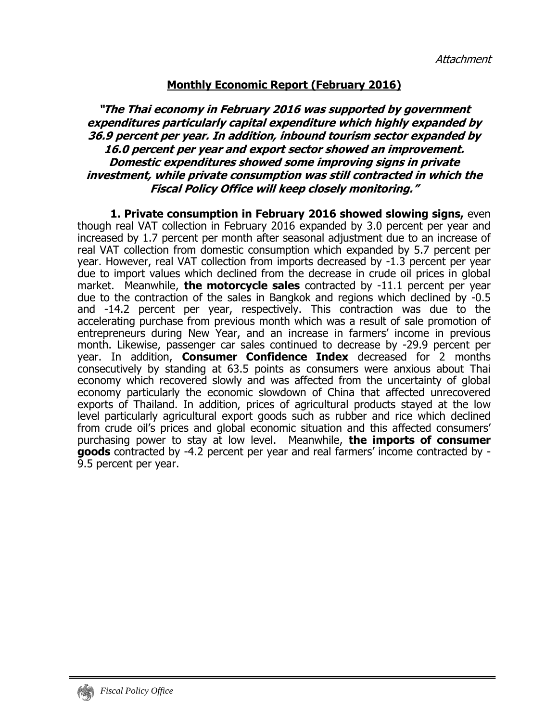## **Monthly Economic Report (February 2016)**

## **"The Thai economy in February 2016 was supported by government expenditures particularly capital expenditure which highly expanded by 36.9 percent per year. In addition, inbound tourism sector expanded by 16.0 percent per year and export sector showed an improvement. Domestic expenditures showed some improving signs in private investment, while private consumption was still contracted in which the Fiscal Policy Office will keep closely monitoring."**

**1. Private consumption in February 2016 showed slowing signs,** even though real VAT collection in February 2016 expanded by 3.0 percent per year and increased by 1.7 percent per month after seasonal adjustment due to an increase of real VAT collection from domestic consumption which expanded by 5.7 percent per year. However, real VAT collection from imports decreased by -1.3 percent per year due to import values which declined from the decrease in crude oil prices in global market. Meanwhile, **the motorcycle sales** contracted by -11.1 percent per year due to the contraction of the sales in Bangkok and regions which declined by -0.5 and -14.2 percent per year, respectively. This contraction was due to the accelerating purchase from previous month which was a result of sale promotion of entrepreneurs during New Year, and an increase in farmers' income in previous month. Likewise, passenger car sales continued to decrease by -29.9 percent per year. In addition, **Consumer Confidence Index** decreased for 2 months consecutively by standing at 63.5 points as consumers were anxious about Thai economy which recovered slowly and was affected from the uncertainty of global economy particularly the economic slowdown of China that affected unrecovered exports of Thailand. In addition, prices of agricultural products stayed at the low level particularly agricultural export goods such as rubber and rice which declined from crude oil's prices and global economic situation and this affected consumers' purchasing power to stay at low level. Meanwhile, **the imports of consumer goods** contracted by -4.2 percent per year and real farmers' income contracted by - 9.5 percent per year.

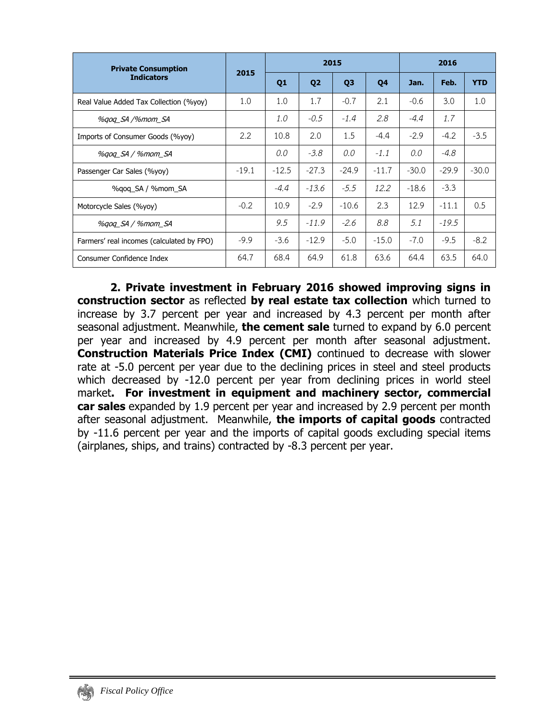| <b>Private Consumption</b>                | 2015    |                |                | 2015           | 2016    |         |         |            |
|-------------------------------------------|---------|----------------|----------------|----------------|---------|---------|---------|------------|
| <b>Indicators</b>                         |         | Q <sub>1</sub> | Q <sub>2</sub> | Q <sub>3</sub> | Q4      | Jan.    | Feb.    | <b>YTD</b> |
| Real Value Added Tax Collection (%yoy)    | 1.0     | 1.0            | 1.7            | $-0.7$         | 2.1     | $-0.6$  | 3.0     | 1.0        |
| %gog_SA /%mom_SA                          |         | 1.0            | $-0.5$         | $-1.4$         | 2.8     | $-4.4$  | 1.7     |            |
| Imports of Consumer Goods (%yoy)          | 2.2     | 10.8           | 2.0            | 1.5            | $-4.4$  | $-2.9$  | $-4.2$  | $-3.5$     |
| %gog_SA / %mom_SA                         |         | 0.0            | $-3.8$         | 0.0            | $-1.1$  | 0.0     | $-4.8$  |            |
| Passenger Car Sales (%yoy)                | $-19.1$ | $-12.5$        | $-27.3$        | $-24.9$        | $-11.7$ | $-30.0$ | $-29.9$ | $-30.0$    |
| %gog_SA / %mom_SA                         |         | $-4.4$         | $-13.6$        | $-5.5$         | 12.2    | $-18.6$ | $-3.3$  |            |
| Motorcycle Sales (%yoy)                   | $-0.2$  | 10.9           | $-2.9$         | $-10.6$        | 2.3     | 12.9    | $-11.1$ | 0.5        |
| %gog_SA / %mom_SA                         |         | 9.5            | $-11.9$        | $-2.6$         | 8.8     | 5.1     | $-19.5$ |            |
| Farmers' real incomes (calculated by FPO) | $-9.9$  | $-3.6$         | $-12.9$        | $-5.0$         | $-15.0$ | $-7.0$  | $-9.5$  | $-8.2$     |
| Consumer Confidence Index                 | 64.7    | 68.4           | 64.9           | 61.8           | 63.6    | 64.4    | 63.5    | 64.0       |

**2. Private investment in February 2016 showed improving signs in construction sector** as reflected **by real estate tax collection** which turned to increase by 3.7 percent per year and increased by 4.3 percent per month after seasonal adjustment. Meanwhile, **the cement sale** turned to expand by 6.0 percent per year and increased by 4.9 percent per month after seasonal adjustment. **Construction Materials Price Index (CMI)** continued to decrease with slower rate at -5.0 percent per year due to the declining prices in steel and steel products which decreased by -12.0 percent per year from declining prices in world steel market**. For investment in equipment and machinery sector, commercial car sales** expanded by 1.9 percent per year and increased by 2.9 percent per month after seasonal adjustment. Meanwhile, **the imports of capital goods** contracted by -11.6 percent per year and the imports of capital goods excluding special items (airplanes, ships, and trains) contracted by -8.3 percent per year.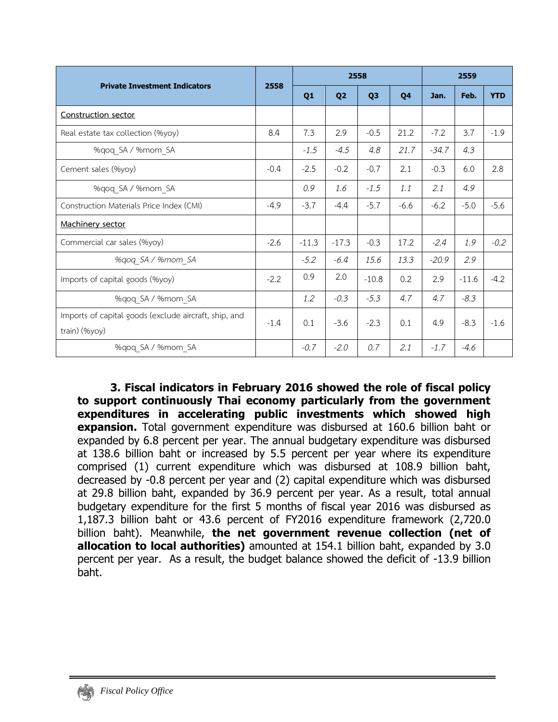|                                                                        |        |         |                | 2558           |        |         | 2559    |            |  |  |
|------------------------------------------------------------------------|--------|---------|----------------|----------------|--------|---------|---------|------------|--|--|
| <b>Private Investment Indicators</b>                                   | 2558   | Q1      | Q <sub>2</sub> | Q <sub>3</sub> | 04     | Jan.    | Feb.    | <b>YTD</b> |  |  |
| Construction sector                                                    |        |         |                |                |        |         |         |            |  |  |
| Real estate tax collection (%yoy)                                      | 8.4    | 7.3     | 2.9            | $-0.5$         | 21.2   | $-7.2$  | 3.7     | $-1.9$     |  |  |
| %qoq SA / %mom SA                                                      |        | $-1.5$  | $-4.5$         | 4.8            | 21.7   | $-34.7$ | 4.3     |            |  |  |
| Cement sales (%yoy)                                                    | $-0.4$ | $-2.5$  | $-0.2$         | $-0.7$         | 2.1    | $-0.3$  | 6.0     | 2.8        |  |  |
| %gog SA / %mom SA                                                      |        | 0.9     | 1.6            | $-1.5$         | 1.1    | 2.1     | 4.9     |            |  |  |
| Construction Materials Price Index (CMI)                               | $-4.9$ | $-3.7$  | $-4.4$         | $-5.7$         | $-6.6$ | $-6.2$  | $-5.0$  | $-5.6$     |  |  |
| Machinery sector                                                       |        |         |                |                |        |         |         |            |  |  |
| Commercial car sales (%yoy)                                            | $-2.6$ | $-11.3$ | $-17.3$        | $-0.3$         | 17.2   | $-2.4$  | 1.9     | $-0.2$     |  |  |
| %qoq SA / %mom SA                                                      |        | $-5.2$  | $-6.4$         | 15.6           | 13.3   | $-20.9$ | 2.9     |            |  |  |
| Imports of capital goods (%yoy)                                        | $-2.2$ | 0.9     | 2.0            | $-10.8$        | 0.2    | 2.9     | $-11.6$ | $-4.2$     |  |  |
| %qoq SA / %mom SA                                                      |        | 1.2     | $-0.3$         | $-5.3$         | 4.7    | 4.7     | $-8.3$  |            |  |  |
| Imports of capital goods (exclude aircraft, ship, and<br>train) (%yoy) | $-1.4$ | 0.1     | $-3.6$         | $-2.3$         | 0.1    | 4.9     | $-8.3$  | $-1.6$     |  |  |
| %qoq_SA / %mom SA                                                      |        | $-0.7$  | $-2.0$         | 0.7            | 2.1    | $-1.7$  | $-4.6$  |            |  |  |

**3. Fiscal indicators in February 2016 showed the role of fiscal policy to support continuously Thai economy particularly from the government expenditures in accelerating public investments which showed high expansion.** Total government expenditure was disbursed at 160.6 billion baht or expanded by 6.8 percent per year. The annual budgetary expenditure was disbursed at 138.6 billion baht or increased by 5.5 percent per year where its expenditure comprised (1) current expenditure which was disbursed at 108.9 billion baht, decreased by -0.8 percent per year and (2) capital expenditure which was disbursed at 29.8 billion baht, expanded by 36.9 percent per year. As a result, total annual budgetary expenditure for the first 5 months of fiscal year 2016 was disbursed as 1,187.3 billion baht or 43.6 percent of FY2016 expenditure framework (2,720.0 billion baht). Meanwhile, **the net government revenue collection (net of allocation to local authorities)** amounted at 154.1 billion baht, expanded by 3.0 percent per year. As a result, the budget balance showed the deficit of -13.9 billion baht.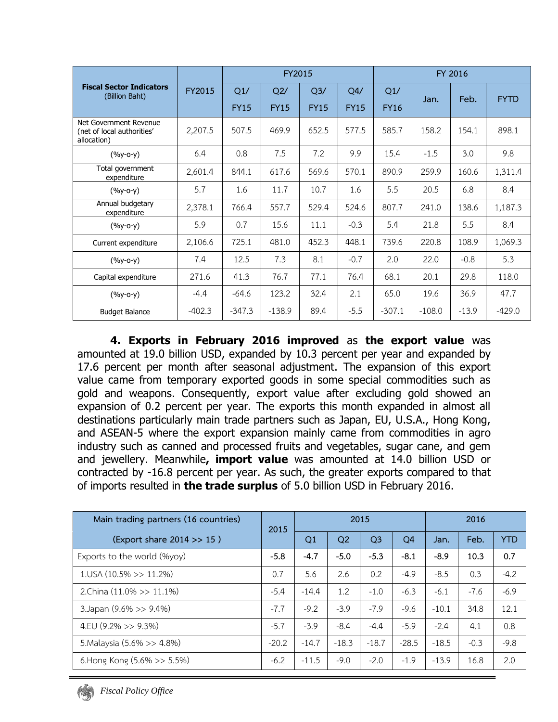|                                                                     |          |             | <b>FY2015</b> |             |             | FY 2016     |          |         |             |  |  |
|---------------------------------------------------------------------|----------|-------------|---------------|-------------|-------------|-------------|----------|---------|-------------|--|--|
| <b>Fiscal Sector Indicators</b><br>(Billion Baht)                   | FY2015   | Q1/         | Q2/           | Q3/         | Q4/         | Q1/         |          | Feb.    | <b>FYTD</b> |  |  |
|                                                                     |          | <b>FY15</b> | <b>FY15</b>   | <b>FY15</b> | <b>FY15</b> | <b>FY16</b> | Jan.     |         |             |  |  |
| Net Government Revenue<br>(net of local authorities'<br>allocation) | 2,207.5  | 507.5       | 469.9         | 652.5       | 577.5       | 585.7       | 158.2    | 154.1   | 898.1       |  |  |
| $(%y-o-y)$                                                          | 6.4      | 0.8         | 7.5           | 7.2         | 9.9         | 15.4        | $-1.5$   | 3.0     | 9.8         |  |  |
| Total government<br>expenditure                                     | 2,601.4  | 844.1       | 617.6         | 569.6       | 570.1       | 890.9       | 259.9    | 160.6   | 1,311.4     |  |  |
| $(%y-o-y)$                                                          | 5.7      | 1.6         | 11.7          | 10.7        | 1.6         | 5.5         | 20.5     | 6.8     | 8.4         |  |  |
| Annual budgetary<br>expenditure                                     | 2,378.1  | 766.4       | 557.7         | 529.4       | 524.6       | 807.7       | 241.0    | 138.6   | 1,187.3     |  |  |
| $(%y-o-y)$                                                          | 5.9      | 0.7         | 15.6          | 11.1        | $-0.3$      | 5.4         | 21.8     | 5.5     | 8.4         |  |  |
| Current expenditure                                                 | 2,106.6  | 725.1       | 481.0         | 452.3       | 448.1       | 739.6       | 220.8    | 108.9   | 1,069.3     |  |  |
| $(%y-o-y)$                                                          | 7.4      | 12.5        | 7.3           | 8.1         | $-0.7$      | 2.0         | 22.0     | $-0.8$  | 5.3         |  |  |
| Capital expenditure                                                 | 271.6    | 41.3        | 76.7          | 77.1        | 76.4        | 68.1        | 20.1     | 29.8    | 118.0       |  |  |
| $(%y-o-y)$                                                          | $-4.4$   | $-64.6$     | 123.2         | 32.4        | 2.1         | 65.0        | 19.6     | 36.9    | 47.7        |  |  |
| <b>Budget Balance</b>                                               | $-402.3$ | $-347.3$    | $-138.9$      | 89.4        | $-5.5$      | $-307.1$    | $-108.0$ | $-13.9$ | $-429.0$    |  |  |

**4. Exports in February 2016 improved** as **the export value** was amounted at 19.0 billion USD, expanded by 10.3 percent per year and expanded by 17.6 percent per month after seasonal adjustment. The expansion of this export value came from temporary exported goods in some special commodities such as gold and weapons. Consequently, export value after excluding gold showed an expansion of 0.2 percent per year. The exports this month expanded in almost all destinations particularly main trade partners such as Japan, EU, U.S.A., Hong Kong, and ASEAN-5 where the export expansion mainly came from commodities in agro industry such as canned and processed fruits and vegetables, sugar cane, and gem and jewellery. Meanwhile**, import value** was amounted at 14.0 billion USD or contracted by -16.8 percent per year. As such, the greater exports compared to that of imports resulted in **the trade surplus** of 5.0 billion USD in February 2016.

| Main trading partners (16 countries) | 2015    |         | 2015           |                | 2016           |         |        |            |
|--------------------------------------|---------|---------|----------------|----------------|----------------|---------|--------|------------|
| (Export share 2014 >> 15)            |         | Q1      | Q <sub>2</sub> | Q <sub>3</sub> | Q <sub>4</sub> | Jan.    | Feb.   | <b>YTD</b> |
| Exports to the world (%yoy)          | $-5.8$  | $-4.7$  | $-5.0$         | $-5.3$         | $-8.1$         | $-8.9$  | 10.3   | 0.7        |
| $1.05A(10.5\%>>11.2\%)$              | 0.7     | 5.6     | 2.6            | 0.2            | $-4.9$         | $-8.5$  | 0.3    | $-4.2$     |
| 2.China (11.0% >> 11.1%)             | $-5.4$  | $-14.4$ | 1.2            | $-1.0$         | $-6.3$         | $-6.1$  | $-7.6$ | $-6.9$     |
| 3. Japan (9.6% >> 9.4%)              | $-7.7$  | $-9.2$  | $-3.9$         | $-7.9$         | $-9.6$         | $-10.1$ | 34.8   | 12.1       |
| 4.EU $(9.2\% >> 9.3\%)$              | $-5.7$  | $-3.9$  | $-8.4$         | $-4.4$         | $-5.9$         | $-2.4$  | 4.1    | 0.8        |
| 5. Malaysia (5.6% >> 4.8%)           | $-20.2$ | $-14.7$ | $-18.3$        | $-18.7$        | $-28.5$        | $-18.5$ | $-0.3$ | $-9.8$     |
| 6. Hong Kong $(5.6\% >> 5.5\%)$      | $-6.2$  | $-11.5$ | $-9.0$         | $-2.0$         | $-1.9$         | $-13.9$ | 16.8   | 2.0        |

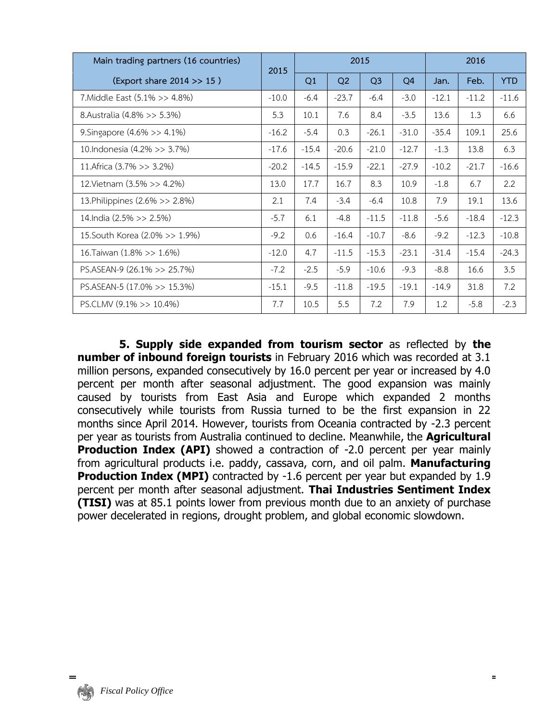| Main trading partners (16 countries) | 2015    |         |         | 2015           |                | 2016    |         |            |  |
|--------------------------------------|---------|---------|---------|----------------|----------------|---------|---------|------------|--|
| (Export share 2014 >> 15)            |         | Q1      | Q2      | Q <sub>3</sub> | Q <sub>4</sub> | Jan.    | Feb.    | <b>YTD</b> |  |
| 7. Middle East (5.1% >> 4.8%)        | $-10.0$ | $-6.4$  | $-23.7$ | $-6.4$         | $-3.0$         | $-12.1$ | $-11.2$ | $-11.6$    |  |
| 8. Australia (4.8% >> 5.3%)          | 5.3     | 10.1    | 7.6     | 8.4            | $-3.5$         | 13.6    | 1.3     | 6.6        |  |
| 9. Singapore (4.6% >> 4.1%)          | $-16.2$ | $-5.4$  | 0.3     | $-26.1$        | $-31.0$        | $-35.4$ | 109.1   | 25.6       |  |
| 10. Indonesia (4.2% >> 3.7%)         | $-17.6$ | $-15.4$ | $-20.6$ | $-21.0$        | $-12.7$        | $-1.3$  | 13.8    | 6.3        |  |
| 11. Africa (3.7% >> 3.2%)            | $-20.2$ | $-14.5$ | $-15.9$ | $-22.1$        | $-27.9$        | $-10.2$ | $-21.7$ | $-16.6$    |  |
| 12. Vietnam (3.5% >> 4.2%)           | 13.0    | 17.7    | 16.7    | 8.3            | 10.9           | $-1.8$  | 6.7     | 2.2        |  |
| 13. Philippines (2.6% >> 2.8%)       | 2.1     | 7.4     | $-3.4$  | $-6.4$         | 10.8           | 7.9     | 19.1    | 13.6       |  |
| 14. India (2.5% >> 2.5%)             | $-5.7$  | 6.1     | $-4.8$  | $-11.5$        | $-11.8$        | $-5.6$  | $-18.4$ | $-12.3$    |  |
| 15. South Korea (2.0% >> 1.9%)       | $-9.2$  | 0.6     | $-16.4$ | $-10.7$        | $-8.6$         | $-9.2$  | $-12.3$ | $-10.8$    |  |
| 16. Taiwan (1.8% >> 1.6%)            | $-12.0$ | 4.7     | $-11.5$ | $-15.3$        | $-23.1$        | $-31.4$ | $-15.4$ | $-24.3$    |  |
| PS.ASEAN-9 (26.1% >> 25.7%)          | $-7.2$  | $-2.5$  | $-5.9$  | $-10.6$        | $-9.3$         | $-8.8$  | 16.6    | 3.5        |  |
| PS.ASEAN-5 $(17.0\% >> 15.3\%)$      | $-15.1$ | $-9.5$  | $-11.8$ | $-19.5$        | $-19.1$        | $-14.9$ | 31.8    | 7.2        |  |
| PS.CLMV $(9.1\% >> 10.4\%)$          | 7.7     | 10.5    | 5.5     | 7.2            | 7.9            | 1.2     | $-5.8$  | $-2.3$     |  |

**5. Supply side expanded from tourism sector** as reflected by **the number of inbound foreign tourists** in February 2016 which was recorded at 3.1 million persons, expanded consecutively by 16.0 percent per year or increased by 4.0 percent per month after seasonal adjustment. The good expansion was mainly caused by tourists from East Asia and Europe which expanded 2 months consecutively while tourists from Russia turned to be the first expansion in 22 months since April 2014. However, tourists from Oceania contracted by -2.3 percent per year as tourists from Australia continued to decline. Meanwhile, the **Agricultural Production Index (API)** showed a contraction of -2.0 percent per year mainly from agricultural products i.e. paddy, cassava, corn, and oil palm. **Manufacturing Production Index (MPI)** contracted by -1.6 percent per year but expanded by 1.9 percent per month after seasonal adjustment. **Thai Industries Sentiment Index (TISI)** was at 85.1 points lower from previous month due to an anxiety of purchase power decelerated in regions, drought problem, and global economic slowdown.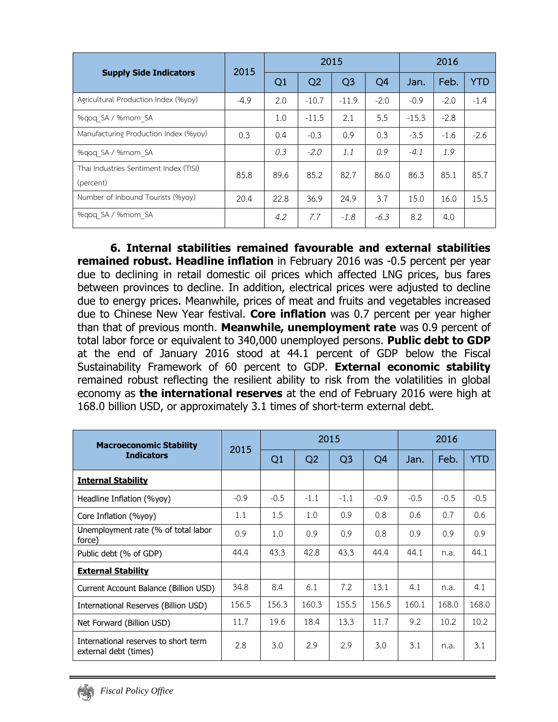|                                                     | 2015   |      |                | 2015           |                | 2016    |        |        |  |
|-----------------------------------------------------|--------|------|----------------|----------------|----------------|---------|--------|--------|--|
| <b>Supply Side Indicators</b>                       |        | Q1   | Q <sub>2</sub> | Q <sub>3</sub> | Q <sub>4</sub> | Jan.    | Feb.   |        |  |
| Agricultural Production Index (%yoy)                | $-4.9$ | 2.0  | $-10.7$        | $-11.9$        | $-2.0$         | $-0.9$  | $-2.0$ | $-1.4$ |  |
| %gog SA / %mom SA                                   |        | 1.0  | $-11.5$        | 2.1            | 5.5            | $-15.3$ | $-2.8$ |        |  |
| Manufacturing Production Index (%yoy)               | 0.3    | 0.4  | $-0.3$         | 0.9            | 0.3            | $-3.5$  | $-1.6$ | $-2.6$ |  |
| %gog SA / %mom SA                                   |        | 0.3  | $-2.0$         | 1.1            | 0.9            | $-4.1$  | 1.9    |        |  |
| Thai Industries Sentiment Index (TISI)<br>(percent) | 85.8   | 89.6 | 85.2           | 82.7           | 86.0           | 86.3    | 85.1   | 85.7   |  |
| Number of Inbound Tourists (%yoy)                   | 20.4   | 22.8 | 36.9           | 24.9           | 3.7            | 15.0    | 16.0   | 15.5   |  |
| %gog SA / %mom SA                                   |        | 4.2  | 7.7            | $-1.8$         | $-6.3$         | 8.2     | 4.0    |        |  |

**6. Internal stabilities remained favourable and external stabilities remained robust. Headline inflation** in February 2016 was -0.5 percent per year due to declining in retail domestic oil prices which affected LNG prices, bus fares between provinces to decline. In addition, electrical prices were adjusted to decline due to energy prices. Meanwhile, prices of meat and fruits and vegetables increased due to Chinese New Year festival. **Core inflation** was 0.7 percent per year higher than that of previous month. **Meanwhile, unemployment rate** was 0.9 percent of total labor force or equivalent to 340,000 unemployed persons. **Public debt to GDP** at the end of January 2016 stood at 44.1 percent of GDP below the Fiscal Sustainability Framework of 60 percent to GDP. **External economic stability** remained robust reflecting the resilient ability to risk from the volatilities in global economy as **the international reserves** at the end of February 2016 were high at 168.0 billion USD, or approximately 3.1 times of short-term external debt.

| <b>Macroeconomic Stability</b>                                | 2015   |        |        | 2015           |                |        | 2016   |            |  |  |
|---------------------------------------------------------------|--------|--------|--------|----------------|----------------|--------|--------|------------|--|--|
| <b>Indicators</b>                                             |        | Q1     | Q2     | Q <sub>3</sub> | Q <sub>4</sub> | Jan.   | Feb.   | <b>YTD</b> |  |  |
| <b>Internal Stability</b>                                     |        |        |        |                |                |        |        |            |  |  |
| Headline Inflation (%yoy)                                     | $-0.9$ | $-0.5$ | $-1.1$ | $-1.1$         | $-0.9$         | $-0.5$ | $-0.5$ | $-0.5$     |  |  |
| Core Inflation (%yoy)                                         | 1.1    | 1.5    | 1.0    | 0.9            | 0.8            | 0.6    | 0.7    | 0.6        |  |  |
| Unemployment rate (% of total labor<br>force)                 | 0.9    | 1.0    | 0.9    | 0.9            | 0.8            | 0.9    | 0.9    | 0.9        |  |  |
| Public debt (% of GDP)                                        | 44.4   | 43.3   | 42.8   | 43.3           | 44.4           | 44.1   | n.a.   | 44.1       |  |  |
| <b>External Stability</b>                                     |        |        |        |                |                |        |        |            |  |  |
| Current Account Balance (Billion USD)                         | 34.8   | 8.4    | 6.1    | 7.2            | 13.1           | 4.1    | n.a.   | 4.1        |  |  |
| International Reserves (Billion USD)                          | 156.5  | 156.3  | 160.3  | 155.5          | 156.5          | 160.1  | 168.0  | 168.0      |  |  |
| Net Forward (Billion USD)                                     | 11.7   | 19.6   | 18.4   | 13.3           | 11.7           | 9.2    | 10.2   | 10.2       |  |  |
| International reserves to short term<br>external debt (times) | 2.8    | 3.0    | 2.9    | 2.9            | 3.0            | 3.1    | n.a.   | 3.1        |  |  |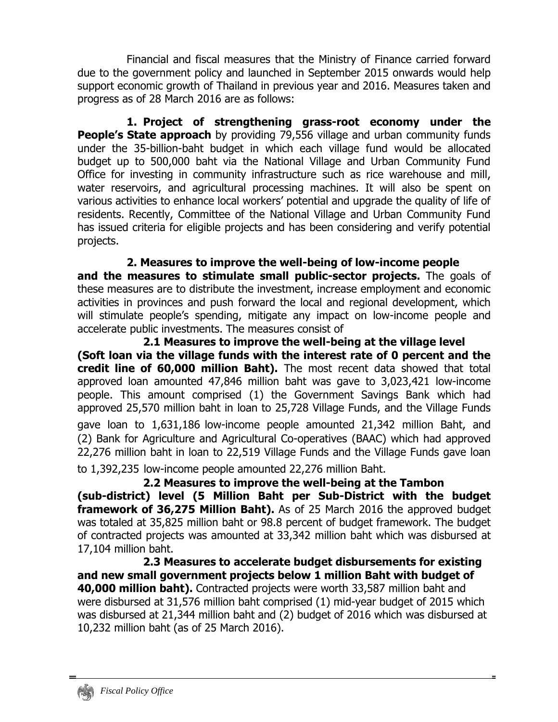Financial and fiscal measures that the Ministry of Finance carried forward due to the government policy and launched in September 2015 onwards would help support economic growth of Thailand in previous year and 2016. Measures taken and progress as of 28 March 2016 are as follows:

**1. Project of strengthening grass-root economy under the People's State approach** by providing 79,556 village and urban community funds under the 35-billion-baht budget in which each village fund would be allocated budget up to 500,000 baht via the National Village and Urban Community Fund Office for investing in community infrastructure such as rice warehouse and mill, water reservoirs, and agricultural processing machines. It will also be spent on various activities to enhance local workers' potential and upgrade the quality of life of residents. Recently, Committee of the National Village and Urban Community Fund has issued criteria for eligible projects and has been considering and verify potential projects.

**2. Measures to improve the well-being of low-income people and the measures to stimulate small public-sector projects.** The goals of these measures are to distribute the investment, increase employment and economic activities in provinces and push forward the local and regional development, which will stimulate people's spending, mitigate any impact on low-income people and accelerate public investments. The measures consist of

**2.1 Measures to improve the well-being at the village level (Soft loan via the village funds with the interest rate of 0 percent and the credit line of 60,000 million Baht).** The most recent data showed that total approved loan amounted 47,846 million baht was gave to 3,023,421 low-income people. This amount comprised (1) the Government Savings Bank which had approved 25,570 million baht in loan to 25,728 Village Funds, and the Village Funds gave loan to 1,631,186 low-income people amounted 21,342 million Baht, and (2) Bank for Agriculture and Agricultural Co-operatives (BAAC) which had approved 22,276 million baht in loan to 22,519 Village Funds and the Village Funds gave loan to 1,392,235 low-income people amounted 22,276 million Baht.

**2.2 Measures to improve the well-being at the Tambon (sub-district) level (5 Million Baht per Sub-District with the budget framework of 36,275 Million Baht).** As of 25 March 2016 the approved budget was totaled at 35,825 million baht or 98.8 percent of budget framework. The budget of contracted projects was amounted at 33,342 million baht which was disbursed at 17,104 million baht.

 **2.3 Measures to accelerate budget disbursements for existing and new small government projects below 1 million Baht with budget of 40,000 million baht).** Contracted projects were worth 33,587 million baht and were disbursed at 31,576 million baht comprised (1) mid-year budget of 2015 which was disbursed at 21,344 million baht and (2) budget of 2016 which was disbursed at 10,232 million baht (as of 25 March 2016).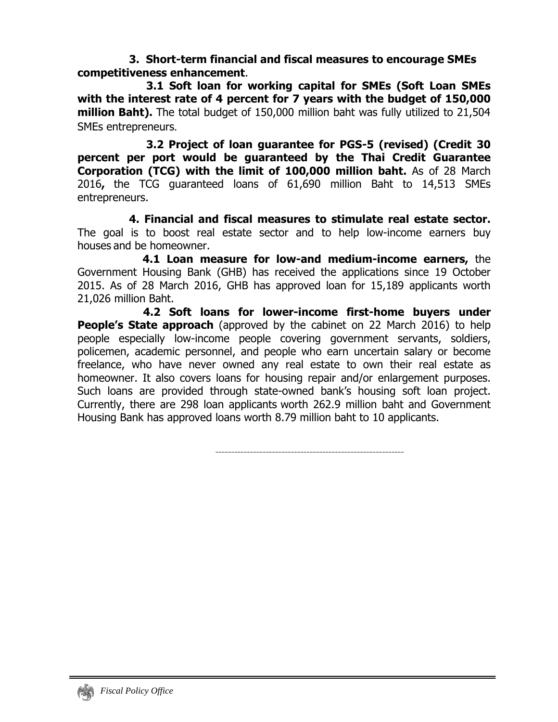**3. Short-term financial and fiscal measures to encourage SMEs competitiveness enhancement**.

**3.1 Soft loan for working capital for SMEs (Soft Loan SMEs with the interest rate of 4 percent for 7 years with the budget of 150,000 million Baht).** The total budget of 150,000 million baht was fully utilized to 21,504 SMEs entrepreneurs**.**

**3.2 Project of loan guarantee for PGS-5 (revised) (Credit 30 percent per port would be guaranteed by the Thai Credit Guarantee Corporation (TCG) with the limit of 100,000 million baht.** As of 28 March 2016**,** the TCG guaranteed loans of 61,690 million Baht to 14,513 SMEs entrepreneurs.

**4. Financial and fiscal measures to stimulate real estate sector.**  The goal is to boost real estate sector and to help low-income earners buy houses and be homeowner.

 **4.1 Loan measure for low-and medium-income earners,** the Government Housing Bank (GHB) has received the applications since 19 October 2015. As of 28 March 2016, GHB has approved loan for 15,189 applicants worth 21,026 million Baht.

**4.2 Soft loans for lower-income first-home buyers under People's State approach** (approved by the cabinet on 22 March 2016) to help people especially low-income people covering government servants, soldiers, policemen, academic personnel, and people who earn uncertain salary or become freelance, who have never owned any real estate to own their real estate as homeowner. It also covers loans for housing repair and/or enlargement purposes. Such loans are provided through state-owned bank's housing soft loan project. Currently, there are 298 loan applicants worth 262.9 million baht and Government Housing Bank has approved loans worth 8.79 million baht to 10 applicants.

------------------------------------------------------------